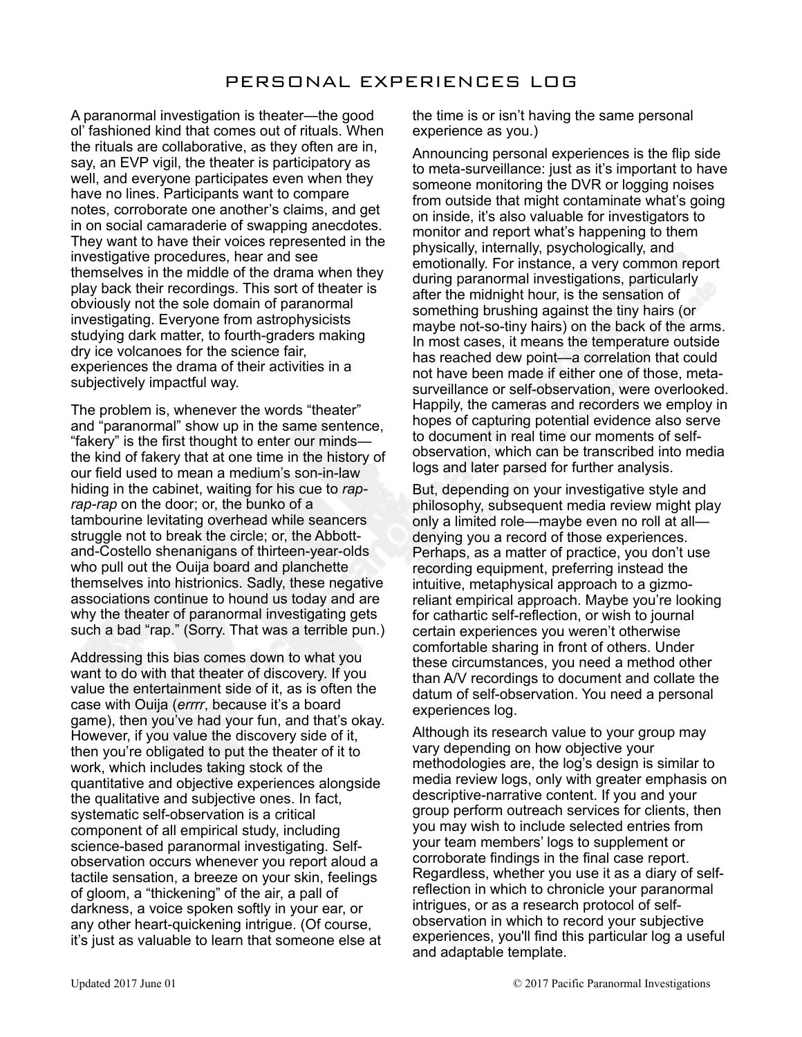A paranormal investigation is theater—the good ol' fashioned kind that comes out of rituals. When the rituals are collaborative, as they often are in, say, an EVP vigil, the theater is participatory as well, and everyone participates even when they have no lines. Participants want to compare notes, corroborate one another's claims, and get in on social camaraderie of swapping anecdotes. They want to have their voices represented in the investigative procedures, hear and see themselves in the middle of the drama when they play back their recordings. This sort of theater is obviously not the sole domain of paranormal investigating. Everyone from astrophysicists studying dark matter, to fourth-graders making dry ice volcanoes for the science fair, experiences the drama of their activities in a subjectively impactful way.

The problem is, whenever the words "theater" and "paranormal" show up in the same sentence, "fakery" is the first thought to enter our minds the kind of fakery that at one time in the history of our field used to mean a medium's son-in-law hiding in the cabinet, waiting for his cue to *raprap-rap* on the door; or, the bunko of a tambourine levitating overhead while seancers struggle not to break the circle; or, the Abbottand-Costello shenanigans of thirteen-year-olds who pull out the Ouija board and planchette themselves into histrionics. Sadly, these negative associations continue to hound us today and are why the theater of paranormal investigating gets such a bad "rap." (Sorry. That was a terrible pun.)

Addressing this bias comes down to what you want to do with that theater of discovery. If you value the entertainment side of it, as is often the case with Ouija (*errrr*, because it's a board game), then you've had your fun, and that's okay. However, if you value the discovery side of it, then you're obligated to put the theater of it to work, which includes taking stock of the quantitative and objective experiences alongside the qualitative and subjective ones. In fact, systematic self-observation is a critical component of all empirical study, including science-based paranormal investigating. Selfobservation occurs whenever you report aloud a tactile sensation, a breeze on your skin, feelings of gloom, a "thickening" of the air, a pall of darkness, a voice spoken softly in your ear, or any other heart-quickening intrigue. (Of course, it's just as valuable to learn that someone else at

the time is or isn't having the same personal experience as you.)

Announcing personal experiences is the flip side to meta-surveillance: just as it's important to have someone monitoring the DVR or logging noises from outside that might contaminate what's going on inside, it's also valuable for investigators to monitor and report what's happening to them physically, internally, psychologically, and emotionally. For instance, a very common report during paranormal investigations, particularly after the midnight hour, is the sensation of something brushing against the tiny hairs (or maybe not-so-tiny hairs) on the back of the arms. In most cases, it means the temperature outside has reached dew point—a correlation that could not have been made if either one of those, metasurveillance or self-observation, were overlooked. Happily, the cameras and recorders we employ in hopes of capturing potential evidence also serve to document in real time our moments of selfobservation, which can be transcribed into media logs and later parsed for further analysis.

But, depending on your investigative style and philosophy, subsequent media review might play only a limited role—maybe even no roll at all denying you a record of those experiences. Perhaps, as a matter of practice, you don't use recording equipment, preferring instead the intuitive, metaphysical approach to a gizmoreliant empirical approach. Maybe you're looking for cathartic self-reflection, or wish to journal certain experiences you weren't otherwise comfortable sharing in front of others. Under these circumstances, you need a method other than A/V recordings to document and collate the datum of self-observation. You need a personal experiences log.

Although its research value to your group may vary depending on how objective your methodologies are, the log's design is similar to media review logs, only with greater emphasis on descriptive-narrative content. If you and your group perform outreach services for clients, then you may wish to include selected entries from your team members' logs to supplement or corroborate findings in the final case report. Regardless, whether you use it as a diary of selfreflection in which to chronicle your paranormal intrigues, or as a research protocol of selfobservation in which to record your subjective experiences, you'll find this particular log a useful and adaptable template.